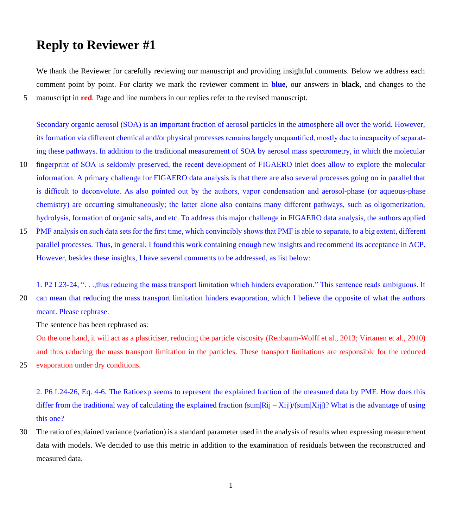## **Reply to Reviewer #1**

We thank the Reviewer for carefully reviewing our manuscript and providing insightful comments. Below we address each comment point by point. For clarity we mark the reviewer comment in **blue**, our answers in **black**, and changes to the 5 manuscript in **red**. Page and line numbers in our replies refer to the revised manuscript.

Secondary organic aerosol (SOA) is an important fraction of aerosol particles in the atmosphere all over the world. However, its formation via different chemical and/or physical processes remains largely unquantified, mostly due to incapacity of separating these pathways. In addition to the traditional measurement of SOA by aerosol mass spectrometry, in which the molecular

- 10 fingerprint of SOA is seldomly preserved, the recent development of FIGAERO inlet does allow to explore the molecular information. A primary challenge for FIGAERO data analysis is that there are also several processes going on in parallel that is difficult to deconvolute. As also pointed out by the authors, vapor condensation and aerosol-phase (or aqueous-phase chemistry) are occurring simultaneously; the latter alone also contains many different pathways, such as oligomerization, hydrolysis, formation of organic salts, and etc. To address this major challenge in FIGAERO data analysis, the authors applied
- 15 PMF analysis on such data sets for the first time, which convincibly shows that PMF is able to separate, to a big extent, different parallel processes. Thus, in general, I found this work containing enough new insights and recommend its acceptance in ACP. However, besides these insights, I have several comments to be addressed, as list below:

1. P2 L23-24, ". . .,thus reducing the mass transport limitation which hinders evaporation." This sentence reads ambiguous. It 20 can mean that reducing the mass transport limitation hinders evaporation, which I believe the opposite of what the authors meant. Please rephrase.

The sentence has been rephrased as:

On the one hand, it will act as a plasticiser, reducing the particle viscosity (Renbaum-Wolff et al., 2013; Virtanen et al., 2010) and thus reducing the mass transport limitation in the particles. These transport limitations are responsible for the reduced

25 evaporation under dry conditions.

2. P6 L24-26, Eq. 4-6. The Ratioexp seems to represent the explained fraction of the measured data by PMF. How does this differ from the traditional way of calculating the explained fraction  $\frac{\text{sum}(X_i^i)}{\text{sum}(X_i^i)}$  What is the advantage of using this one?

30 The ratio of explained variance (variation) is a standard parameter used in the analysis of results when expressing measurement data with models. We decided to use this metric in addition to the examination of residuals between the reconstructed and measured data.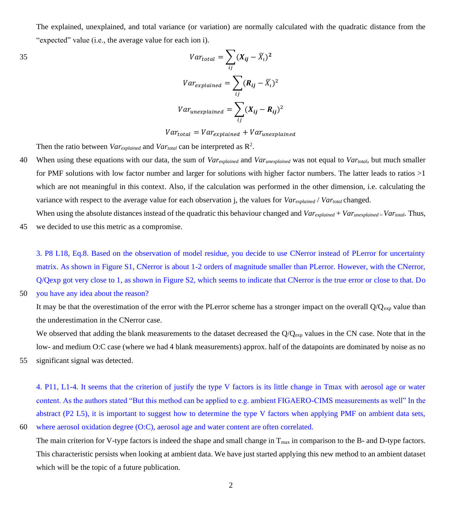The explained, unexplained, and total variance (or variation) are normally calculated with the quadratic distance from the "expected" value (i.e., the average value for each ion i).

35

$$
Var_{total} = \sum_{ij} (X_{ij} - \bar{X}_i)^2
$$

$$
Var_{explained} = \sum_{ij} (R_{ij} - \bar{X}_i)^2
$$

$$
Var_{unexplained} = \sum_{ij} (X_{ij} - R_{ij})^2
$$

 $Var_{total} = Var_{explained} + Var_{unexplained}$ 

Then the ratio between  $Var_{explained}$  and  $Var_{total}$  can be interpreted as  $\mathbb{R}^2$ .

40 When using these equations with our data, the sum of *Varexplained* and *Varunexplained* was not equal to *Vartotal*, but much smaller for PMF solutions with low factor number and larger for solutions with higher factor numbers. The latter leads to ratios  $>1$ which are not meaningful in this context. Also, if the calculation was performed in the other dimension, i.e. calculating the variance with respect to the average value for each observation j, the values for *Varexplained* / *Vartotal* changed.

When using the absolute distances instead of the quadratic this behaviour changed and  $Var_{explained} + Var_{unexplained} \approx Var_{total}$ . Thus, 45 we decided to use this metric as a compromise.

3. P8 L18, Eq.8. Based on the observation of model residue, you decide to use CNerror instead of PLerror for uncertainty matrix. As shown in Figure S1, CNerror is about 1-2 orders of magnitude smaller than PLerror. However, with the CNerror, Q/Qexp got very close to 1, as shown in Figure S2, which seems to indicate that CNerror is the true error or close to that. Do

50 you have any idea about the reason?

It may be that the overestimation of the error with the PLerror scheme has a stronger impact on the overall  $Q/Q_{exp}$  value than the underestimation in the CNerror case.

We observed that adding the blank measurements to the dataset decreased the  $Q/Q_{exp}$  values in the CN case. Note that in the low- and medium O:C case (where we had 4 blank measurements) approx. half of the datapoints are dominated by noise as no

55 significant signal was detected.

4. P11, L1-4. It seems that the criterion of justify the type V factors is its little change in Tmax with aerosol age or water content. As the authors stated "But this method can be applied to e.g. ambient FIGAERO-CIMS measurements as well" In the abstract (P2 L5), it is important to suggest how to determine the type V factors when applying PMF on ambient data sets, 60 where aerosol oxidation degree (O:C), aerosol age and water content are often correlated.

The main criterion for V-type factors is indeed the shape and small change in  $T_{\text{max}}$  in comparison to the B- and D-type factors. This characteristic persists when looking at ambient data. We have just started applying this new method to an ambient dataset which will be the topic of a future publication.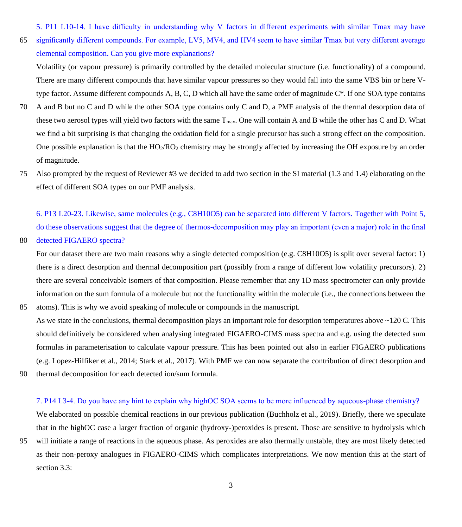5. P11 L10-14. I have difficulty in understanding why V factors in different experiments with similar Tmax may have

65 significantly different compounds. For example, LV5, MV4, and HV4 seem to have similar Tmax but very different average elemental composition. Can you give more explanations?

Volatility (or vapour pressure) is primarily controlled by the detailed molecular structure (i.e. functionality) of a compound. There are many different compounds that have similar vapour pressures so they would fall into the same VBS bin or here Vtype factor. Assume different compounds A, B, C, D which all have the same order of magnitude C\*. If one SOA type contains

- 70 A and B but no C and D while the other SOA type contains only C and D, a PMF analysis of the thermal desorption data of these two aerosol types will yield two factors with the same  $T_{\text{max}}$ . One will contain A and B while the other has C and D. What we find a bit surprising is that changing the oxidation field for a single precursor has such a strong effect on the composition. One possible explanation is that the  $HO_2/RO_2$  chemistry may be strongly affected by increasing the OH exposure by an order of magnitude.
- 75 Also prompted by the request of Reviewer #3 we decided to add two section in the SI material (1.3 and 1.4) elaborating on the effect of different SOA types on our PMF analysis.

6. P13 L20-23. Likewise, same molecules (e.g., C8H10O5) can be separated into different V factors. Together with Point 5, do these observations suggest that the degree of thermos-decomposition may play an important (even a major) role in the final

80 detected FIGAERO spectra?

For our dataset there are two main reasons why a single detected composition (e.g. C8H10O5) is split over several factor: 1) there is a direct desorption and thermal decomposition part (possibly from a range of different low volatility precursors). 2) there are several conceivable isomers of that composition. Please remember that any 1D mass spectrometer can only provide information on the sum formula of a molecule but not the functionality within the molecule (i.e., the connections between the

- 85 atoms). This is why we avoid speaking of molecule or compounds in the manuscript. As we state in the conclusions, thermal decomposition plays an important role for desorption temperatures above ~120 C. This should definitively be considered when analysing integrated FIGAERO-CIMS mass spectra and e.g. using the detected sum formulas in parameterisation to calculate vapour pressure. This has been pointed out also in earlier FIGAERO publications (e.g. Lopez-Hilfiker et al., 2014; Stark et al., 2017). With PMF we can now separate the contribution of direct desorption and
- 90 thermal decomposition for each detected ion/sum formula.

## 7. P14 L3-4. Do you have any hint to explain why highOC SOA seems to be more influenced by aqueous-phase chemistry?

We elaborated on possible chemical reactions in our previous publication (Buchholz et al., 2019). Briefly, there we speculate that in the highOC case a larger fraction of organic (hydroxy-)peroxides is present. Those are sensitive to hydrolysis which

95 will initiate a range of reactions in the aqueous phase. As peroxides are also thermally unstable, they are most likely detected as their non-peroxy analogues in FIGAERO-CIMS which complicates interpretations. We now mention this at the start of section 3.3: